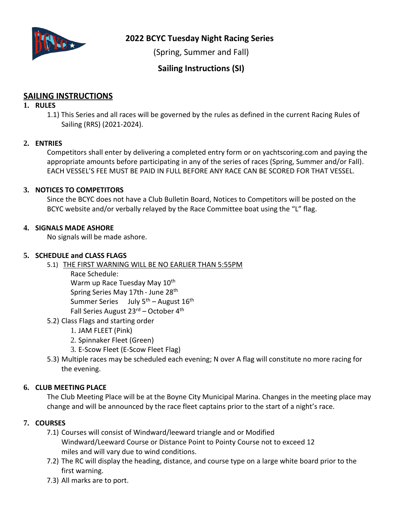

**2022 BCYC Tuesday Night Racing Series**

(Spring, Summer and Fall)

**Sailing Instructions (SI)**

# **SAILING INSTRUCTIONS**

### **1. RULES**

1.1) This Series and all races will be governed by the rules as defined in the current Racing Rules of Sailing (RRS) (2021-2024).

## **2. ENTRIES**

Competitors shall enter by delivering a completed entry form or on yachtscoring.com and paying the appropriate amounts before participating in any of the series of races (Spring, Summer and/or Fall). EACH VESSEL'S FEE MUST BE PAID IN FULL BEFORE ANY RACE CAN BE SCORED FOR THAT VESSEL.

### **3. NOTICES TO COMPETITORS**

Since the BCYC does not have a Club Bulletin Board, Notices to Competitors will be posted on the BCYC website and/or verbally relayed by the Race Committee boat using the "L" flag.

### **4. SIGNALS MADE ASHORE**

No signals will be made ashore.

### **5. SCHEDULE and CLASS FLAGS**

- 5.1) THE FIRST WARNING WILL BE NO EARLIER THAN 5:55PM
	- Race Schedule: Warm up Race Tuesday May 10<sup>th</sup> Spring Series May 17th - June 28<sup>th</sup> Summer Series July 5<sup>th</sup> – August 16<sup>th</sup> Fall Series August 23<sup>rd</sup> – October 4<sup>th</sup>
- 5.2) Class Flags and starting order
	- 1. JAM FLEET (Pink)
	- 2. Spinnaker Fleet (Green)
	- 3. E-Scow Fleet (E-Scow Fleet Flag)
- 5.3) Multiple races may be scheduled each evening; N over A flag will constitute no more racing for the evening.

## **6. CLUB MEETING PLACE**

The Club Meeting Place will be at the Boyne City Municipal Marina. Changes in the meeting place may change and will be announced by the race fleet captains prior to the start of a night's race.

## **7. COURSES**

- 7.1) Courses will consist of Windward/leeward triangle and or Modified Windward/Leeward Course or Distance Point to Pointy Course not to exceed 12 miles and will vary due to wind conditions.
- 7.2) The RC will display the heading, distance, and course type on a large white board prior to the first warning.
- 7.3) All marks are to port.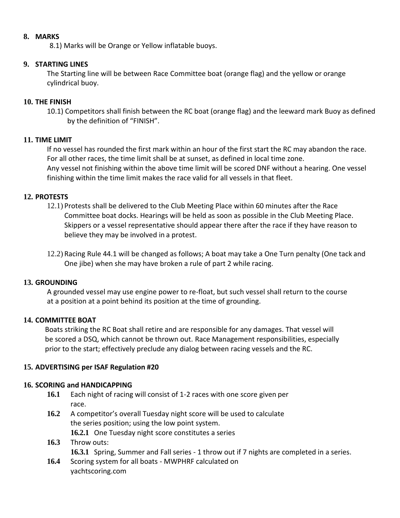### **8. MARKS**

8.1) Marks will be Orange or Yellow inflatable buoys.

## **9. STARTING LINES**

The Starting line will be between Race Committee boat (orange flag) and the yellow or orange cylindrical buoy.

## **10. THE FINISH**

10.1) Competitors shall finish between the RC boat (orange flag) and the leeward mark Buoy as defined by the definition of "FINISH".

## **11. TIME LIMIT**

If no vessel has rounded the first mark within an hour of the first start the RC may abandon the race. For all other races, the time limit shall be at sunset, as defined in local time zone. Any vessel not finishing within the above time limit will be scored DNF without a hearing. One vessel finishing within the time limit makes the race valid for all vessels in that fleet.

## **12. PROTESTS**

- 12.1) Protests shall be delivered to the Club Meeting Place within 60 minutes after the Race Committee boat docks. Hearings will be held as soon as possible in the Club Meeting Place. Skippers or a vessel representative should appear there after the race if they have reason to believe they may be involved in a protest.
- 12.2) Racing Rule 44.1 will be changed as follows; A boat may take a One Turn penalty (One tack and One jibe) when she may have broken a rule of part 2 while racing.

## **13. GROUNDING**

A grounded vessel may use engine power to re-float, but such vessel shall return to the course at a position at a point behind its position at the time of grounding.

## **14. COMMITTEE BOAT**

Boats striking the RC Boat shall retire and are responsible for any damages. That vessel will be scored a DSQ, which cannot be thrown out. Race Management responsibilities, especially prior to the start; effectively preclude any dialog between racing vessels and the RC.

## **15. ADVERTISING per ISAF Regulation #20**

## **16. SCORING and HANDICAPPING**

- **16.1** Each night of racing will consist of 1-2 races with one score given per race.
- **16.2** A competitor's overall Tuesday night score will be used to calculate the series position; using the low point system.
	- **16.2.1** One Tuesday night score constitutes a series
- **16.3** Throw outs: **16.3.1** Spring, Summer and Fall series - 1 throw out if 7 nights are completed in a series.
- **16.4** Scoring system for all boats MWPHRF calculated on yachtscoring.com